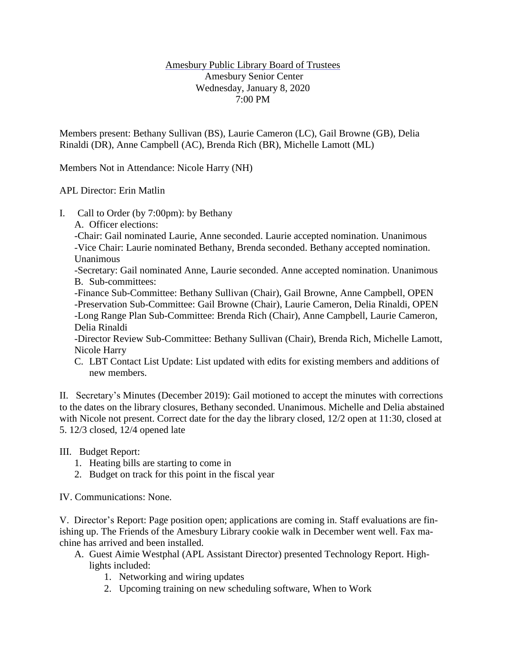## Amesbury Public Library Board of Trustees Amesbury Senior Center Wednesday, January 8, 2020 7:00 PM

Members present: Bethany Sullivan (BS), Laurie Cameron (LC), Gail Browne (GB), Delia Rinaldi (DR), Anne Campbell (AC), Brenda Rich (BR), Michelle Lamott (ML)

Members Not in Attendance: Nicole Harry (NH)

APL Director: Erin Matlin

- I. Call to Order (by 7:00pm): by Bethany
	- A. Officer elections:

-Chair: Gail nominated Laurie, Anne seconded. Laurie accepted nomination. Unanimous -Vice Chair: Laurie nominated Bethany, Brenda seconded. Bethany accepted nomination. Unanimous

-Secretary: Gail nominated Anne, Laurie seconded. Anne accepted nomination. Unanimous B. Sub-committees:

-Finance Sub-Committee: Bethany Sullivan (Chair), Gail Browne, Anne Campbell, OPEN -Preservation Sub-Committee: Gail Browne (Chair), Laurie Cameron, Delia Rinaldi, OPEN -Long Range Plan Sub-Committee: Brenda Rich (Chair), Anne Campbell, Laurie Cameron, Delia Rinaldi

-Director Review Sub-Committee: Bethany Sullivan (Chair), Brenda Rich, Michelle Lamott, Nicole Harry

C. LBT Contact List Update: List updated with edits for existing members and additions of new members.

II. Secretary's Minutes (December 2019): Gail motioned to accept the minutes with corrections to the dates on the library closures, Bethany seconded. Unanimous. Michelle and Delia abstained with Nicole not present. Correct date for the day the library closed, 12/2 open at 11:30, closed at 5. 12/3 closed, 12/4 opened late

III. Budget Report:

- 1. Heating bills are starting to come in
- 2. Budget on track for this point in the fiscal year

IV. Communications: None.

V. Director's Report: Page position open; applications are coming in. Staff evaluations are finishing up. The Friends of the Amesbury Library cookie walk in December went well. Fax machine has arrived and been installed.

- A. Guest Aimie Westphal (APL Assistant Director) presented Technology Report. Highlights included:
	- 1. Networking and wiring updates
	- 2. Upcoming training on new scheduling software, When to Work